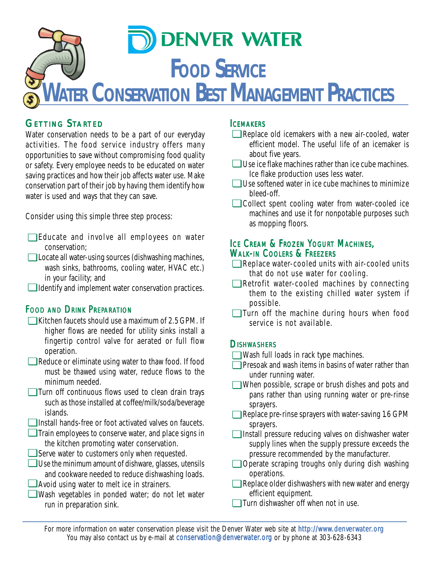

## GETTING STARTED

Water conservation needs to be a part of our everyday activities. The food service industry offers many opportunities to save without compromising food quality or safety. Every employee needs to be educated on water saving practices and how their job affects water use. Make conservation part of their job by having them identify how water is used and ways that they can save.

Consider using this simple three step process:

- Educate and involve all employees on water ❏ conservation;
- Locate all water-using sources (dishwashing machines, ❏ wash sinks, bathrooms, cooling water, HVAC etc.) in your facility; and
- Identify and implement water conservation practices. ❏

## FOOD AND DRINK PREPARATION

- Kitchen faucets should use a maximum of 2.5 GPM. If ❏ higher flows are needed for utility sinks install a fingertip control valve for aerated or full flow operation.
- Reduce or eliminate using water to thaw food. If food ❏ must be thawed using water, reduce flows to the minimum needed.
- Turn off continuous flows used to clean drain trays ❏ such as those installed at coffee/milk/soda/beverage islands.
- Install hands-free or foot activated valves on faucets. ❏
- Train employees to conserve water, and place signs in ❏ the kitchen promoting water conservation.
- **□** Serve water to customers only when requested.
- Use the minimum amount of dishware, glasses, utensils ❏ and cookware needed to reduce dishwashing loads.
- Avoid using water to melt ice in strainers. ❏
- Wash vegetables in ponded water; do not let water ❏ run in preparation sink.

#### **ICEMAKERS**

- Replace old icemakers with a new air-cooled, water ❏ efficient model. The useful life of an icemaker is about five years.
- Use ice flake machines rather than ice cube machines. ❏ Ice flake production uses less water.
- Use softened water in ice cube machines to minimize ❏ bleed-off.
- Collect spent cooling water from water-cooled ice ❏ machines and use it for nonpotable purposes such as mopping floors.

# ICE CREAM & FROZEN YOGURT MACHINES,<br>WALK-IN COOLERS & FREEZERS

- Replace water-cooled units with air-cooled units ❏ that do not use water for cooling.
- Retrofit water-cooled machines by connecting ❏ them to the existing chilled water system if possible.
- **□** Turn off the machine during hours when food service is not available.

#### **DISHWASHERS**

- Wash full loads in rack type machines. ❏
- □ Presoak and wash items in basins of water rather than under running water.
- When possible, scrape or brush dishes and pots and ❏ pans rather than using running water or pre-rinse sprayers.
- Replace pre-rinse sprayers with water-saving 1.6 GPM sprayers.
- **□** Install pressure reducing valves on dishwasher water supply lines when the supply pressure exceeds the pressure recommended by the manufacturer.
- □ Operate scraping troughs only during dish washing operations.
- **□ Replace older dishwashers with new water and energy** efficient equipment.
- **□** Turn dishwasher off when not in use.